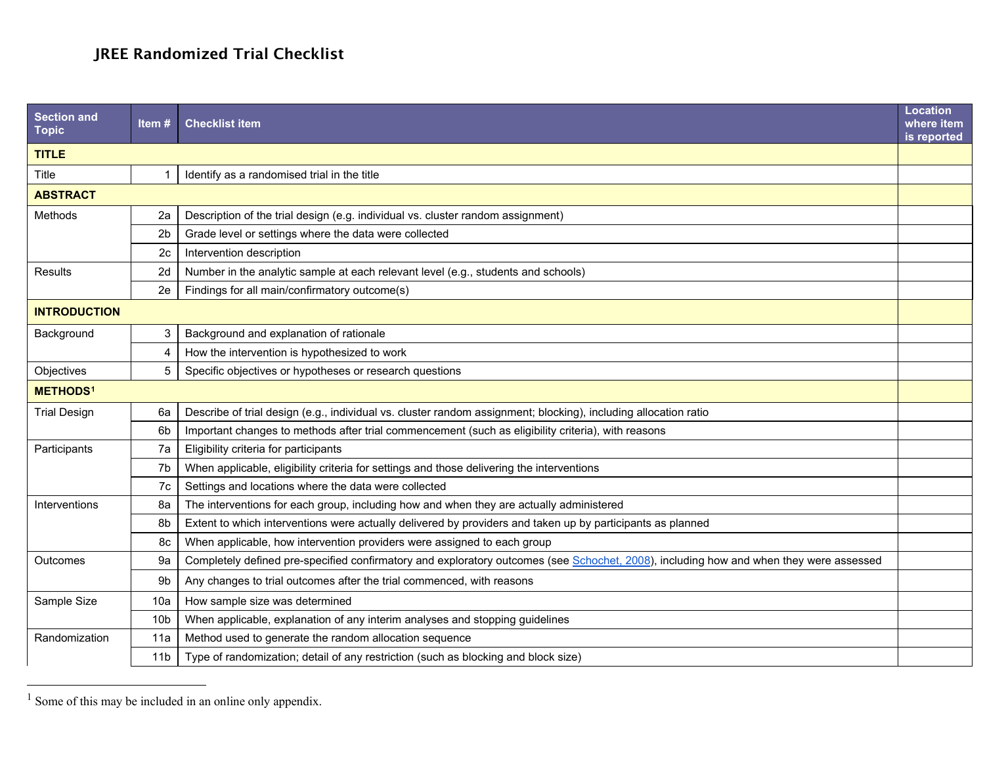## <span id="page-0-0"></span>JREE Randomized Trial Checklist

| <b>Section and</b><br><b>Topic</b> | Item#           | <b>Checklist item</b>                                                                                                                  | <b>Location</b><br>where item<br>is reported |  |
|------------------------------------|-----------------|----------------------------------------------------------------------------------------------------------------------------------------|----------------------------------------------|--|
| <b>TITLE</b>                       |                 |                                                                                                                                        |                                              |  |
| Title                              |                 | Identify as a randomised trial in the title                                                                                            |                                              |  |
| <b>ABSTRACT</b>                    |                 |                                                                                                                                        |                                              |  |
| Methods                            | 2a              | Description of the trial design (e.g. individual vs. cluster random assignment)                                                        |                                              |  |
|                                    | 2 <sub>b</sub>  | Grade level or settings where the data were collected                                                                                  |                                              |  |
|                                    | 2c              | Intervention description                                                                                                               |                                              |  |
| Results                            | 2d              | Number in the analytic sample at each relevant level (e.g., students and schools)                                                      |                                              |  |
|                                    | 2e              | Findings for all main/confirmatory outcome(s)                                                                                          |                                              |  |
| <b>INTRODUCTION</b>                |                 |                                                                                                                                        |                                              |  |
| Background                         | 3               | Background and explanation of rationale                                                                                                |                                              |  |
|                                    | 4               | How the intervention is hypothesized to work                                                                                           |                                              |  |
| Objectives                         | 5               | Specific objectives or hypotheses or research questions                                                                                |                                              |  |
| <b>METHODS1</b>                    |                 |                                                                                                                                        |                                              |  |
| <b>Trial Design</b>                | 6a              | Describe of trial design (e.g., individual vs. cluster random assignment; blocking), including allocation ratio                        |                                              |  |
|                                    | 6b              | Important changes to methods after trial commencement (such as eligibility criteria), with reasons                                     |                                              |  |
| Participants                       | 7a              | Eligibility criteria for participants                                                                                                  |                                              |  |
|                                    | 7b              | When applicable, eligibility criteria for settings and those delivering the interventions                                              |                                              |  |
|                                    | 7c              | Settings and locations where the data were collected                                                                                   |                                              |  |
| Interventions                      | 8a              | The interventions for each group, including how and when they are actually administered                                                |                                              |  |
|                                    | 8b              | Extent to which interventions were actually delivered by providers and taken up by participants as planned                             |                                              |  |
|                                    | 8c              | When applicable, how intervention providers were assigned to each group                                                                |                                              |  |
| Outcomes                           | 9a              | Completely defined pre-specified confirmatory and exploratory outcomes (see Schochet, 2008), including how and when they were assessed |                                              |  |
|                                    | 9b              | Any changes to trial outcomes after the trial commenced, with reasons                                                                  |                                              |  |
| Sample Size                        | 10a             | How sample size was determined                                                                                                         |                                              |  |
|                                    | 10 <sub>b</sub> | When applicable, explanation of any interim analyses and stopping guidelines                                                           |                                              |  |
| Randomization                      | 11a             | Method used to generate the random allocation sequence                                                                                 |                                              |  |
|                                    | 11 <sub>b</sub> | Type of randomization; detail of any restriction (such as blocking and block size)                                                     |                                              |  |

 $\frac{1}{1}$  Some of this may be included in an online only appendix.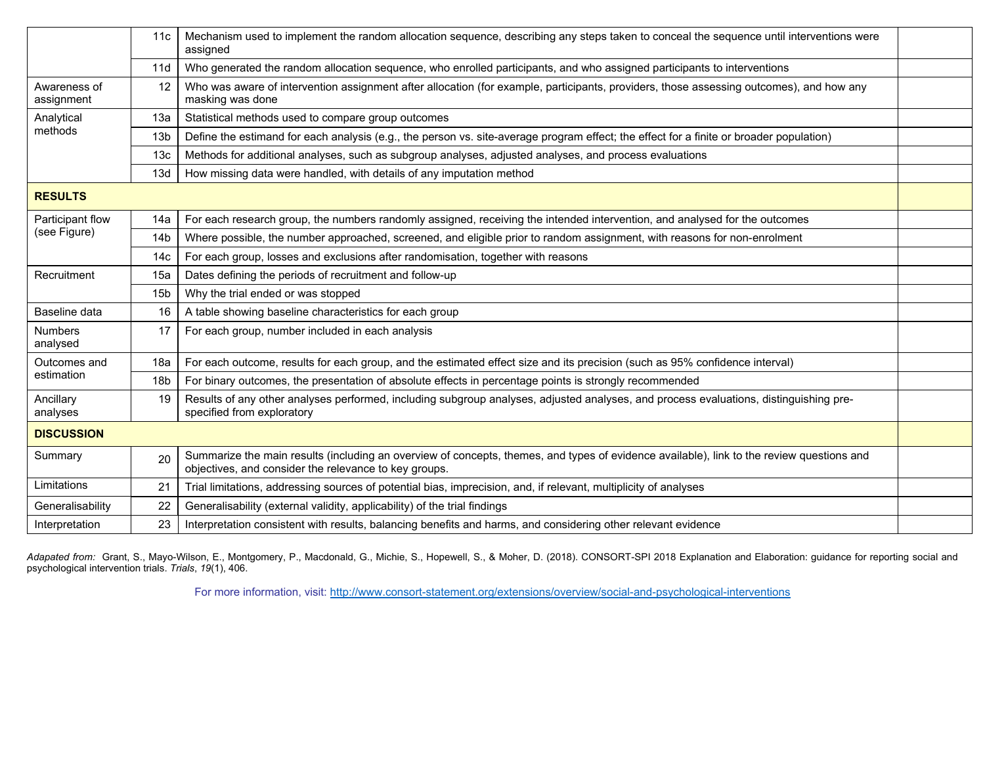|                                  | 11c             | Mechanism used to implement the random allocation sequence, describing any steps taken to conceal the sequence until interventions were<br>assigned                                                |  |  |  |
|----------------------------------|-----------------|----------------------------------------------------------------------------------------------------------------------------------------------------------------------------------------------------|--|--|--|
|                                  | 11d             | Who generated the random allocation sequence, who enrolled participants, and who assigned participants to interventions                                                                            |  |  |  |
| Awareness of<br>assignment       | 12              | Who was aware of intervention assignment after allocation (for example, participants, providers, those assessing outcomes), and how any<br>masking was done                                        |  |  |  |
| Analytical<br>methods            | 13a             | Statistical methods used to compare group outcomes                                                                                                                                                 |  |  |  |
|                                  | 13 <sub>b</sub> | Define the estimand for each analysis (e.g., the person vs. site-average program effect; the effect for a finite or broader population)                                                            |  |  |  |
|                                  | 13 <sub>c</sub> | Methods for additional analyses, such as subgroup analyses, adjusted analyses, and process evaluations                                                                                             |  |  |  |
|                                  | 13d             | How missing data were handled, with details of any imputation method                                                                                                                               |  |  |  |
| <b>RESULTS</b>                   |                 |                                                                                                                                                                                                    |  |  |  |
| Participant flow<br>(see Figure) | 14a             | For each research group, the numbers randomly assigned, receiving the intended intervention, and analysed for the outcomes                                                                         |  |  |  |
|                                  | 14 <sub>b</sub> | Where possible, the number approached, screened, and eligible prior to random assignment, with reasons for non-enrolment                                                                           |  |  |  |
|                                  | 14 <sub>c</sub> | For each group, losses and exclusions after randomisation, together with reasons                                                                                                                   |  |  |  |
| Recruitment                      | 15a             | Dates defining the periods of recruitment and follow-up                                                                                                                                            |  |  |  |
|                                  | 15 <sub>b</sub> | Why the trial ended or was stopped                                                                                                                                                                 |  |  |  |
| Baseline data                    | 16              | A table showing baseline characteristics for each group                                                                                                                                            |  |  |  |
| <b>Numbers</b><br>analysed       | 17              | For each group, number included in each analysis                                                                                                                                                   |  |  |  |
| Outcomes and<br>estimation       | 18a             | For each outcome, results for each group, and the estimated effect size and its precision (such as 95% confidence interval)                                                                        |  |  |  |
|                                  | 18 <sub>b</sub> | For binary outcomes, the presentation of absolute effects in percentage points is strongly recommended                                                                                             |  |  |  |
| Ancillary<br>analyses            | 19              | Results of any other analyses performed, including subgroup analyses, adjusted analyses, and process evaluations, distinguishing pre-<br>specified from exploratory                                |  |  |  |
| <b>DISCUSSION</b>                |                 |                                                                                                                                                                                                    |  |  |  |
| Summary                          | 20              | Summarize the main results (including an overview of concepts, themes, and types of evidence available), link to the review questions and<br>objectives, and consider the relevance to key groups. |  |  |  |
| Limitations                      | 21              | Trial limitations, addressing sources of potential bias, imprecision, and, if relevant, multiplicity of analyses                                                                                   |  |  |  |
| Generalisability                 | 22              | Generalisability (external validity, applicability) of the trial findings                                                                                                                          |  |  |  |
| Interpretation                   | 23              | Interpretation consistent with results, balancing benefits and harms, and considering other relevant evidence                                                                                      |  |  |  |

Adapated from: Grant, S., Mayo-Wilson, E., Montgomery, P., Macdonald, G., Michie, S., Hopewell, S., & Moher, D. (2018). CONSORT-SPI 2018 Explanation and Elaboration: guidance for reporting social and psychological intervention trials. *Trials*, *19*(1), 406.

For more information, visit:<http://www.consort-statement.org/extensions/overview/social-and-psychological-interventions>